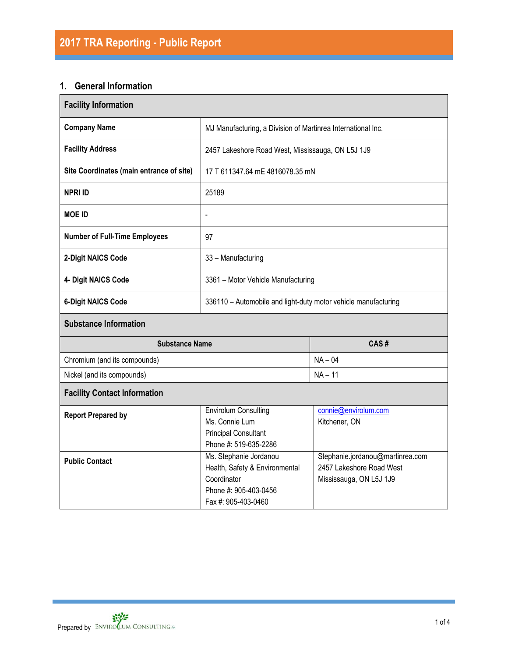# **1. General Information**

| <b>Facility Information</b>              |                                                                                                                         |                                                                                         |  |  |  |
|------------------------------------------|-------------------------------------------------------------------------------------------------------------------------|-----------------------------------------------------------------------------------------|--|--|--|
| <b>Company Name</b>                      | MJ Manufacturing, a Division of Martinrea International Inc.                                                            |                                                                                         |  |  |  |
| <b>Facility Address</b>                  | 2457 Lakeshore Road West, Mississauga, ON L5J 1J9                                                                       |                                                                                         |  |  |  |
| Site Coordinates (main entrance of site) | 17 T 611347.64 mE 4816078.35 mN                                                                                         |                                                                                         |  |  |  |
| <b>NPRI ID</b>                           | 25189                                                                                                                   |                                                                                         |  |  |  |
| <b>MOE ID</b>                            | $\overline{a}$                                                                                                          |                                                                                         |  |  |  |
| <b>Number of Full-Time Employees</b>     | 97                                                                                                                      |                                                                                         |  |  |  |
| 2-Digit NAICS Code                       | 33 - Manufacturing                                                                                                      |                                                                                         |  |  |  |
| 4- Digit NAICS Code                      | 3361 - Motor Vehicle Manufacturing                                                                                      |                                                                                         |  |  |  |
| <b>6-Digit NAICS Code</b>                | 336110 - Automobile and light-duty motor vehicle manufacturing                                                          |                                                                                         |  |  |  |
| <b>Substance Information</b>             |                                                                                                                         |                                                                                         |  |  |  |
| <b>Substance Name</b>                    |                                                                                                                         | CAS#                                                                                    |  |  |  |
| Chromium (and its compounds)             |                                                                                                                         | $NA - 04$                                                                               |  |  |  |
| Nickel (and its compounds)               | $NA - 11$                                                                                                               |                                                                                         |  |  |  |
| <b>Facility Contact Information</b>      |                                                                                                                         |                                                                                         |  |  |  |
| <b>Report Prepared by</b>                | <b>Envirolum Consulting</b><br>Ms. Connie Lum<br><b>Principal Consultant</b><br>Phone #: 519-635-2286                   | connie@envirolum.com<br>Kitchener, ON                                                   |  |  |  |
| <b>Public Contact</b>                    | Ms. Stephanie Jordanou<br>Health, Safety & Environmental<br>Coordinator<br>Phone #: 905-403-0456<br>Fax #: 905-403-0460 | Stephanie.jordanou@martinrea.com<br>2457 Lakeshore Road West<br>Mississauga, ON L5J 1J9 |  |  |  |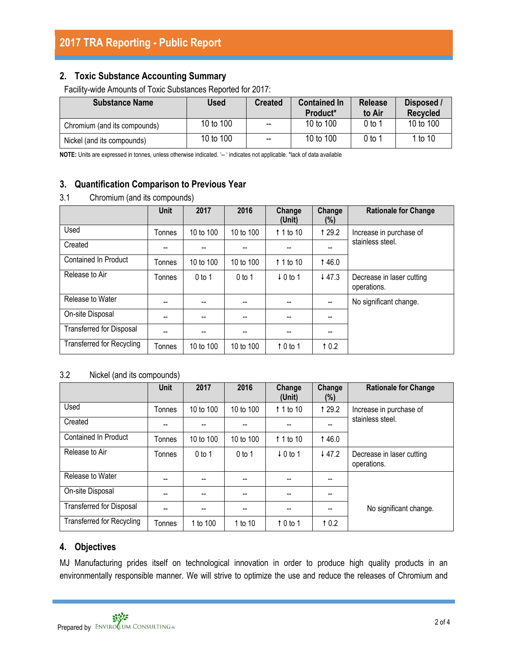## **2. Toxic Substance Accounting Summary**

Facility-wide Amounts of Toxic Substances Reported for 2017:

| <b>Substance Name</b>        | Used      | <b>Created</b>           | <b>Contained In</b><br>Product <sup>*</sup> | <b>Release</b><br>to Air | Disposed /<br>Recycled |
|------------------------------|-----------|--------------------------|---------------------------------------------|--------------------------|------------------------|
| Chromium (and its compounds) | 10 to 100 | $\overline{\phantom{a}}$ | 10 to 100                                   | 0 to 1                   | 10 to 100              |
| Nickel (and its compounds)   | 10 to 100 | $\overline{\phantom{a}}$ | 10 to 100                                   | 0 to 1                   | 1 to 10                |

**NOTE:** Units are expressed in tonnes, unless otherwise indicated. '-- ' indicates not applicable. \*lack of data available

# **3. Quantification Comparison to Previous Year**

## 3.1 Chromium (and its compounds)

|                                  | <b>Unit</b> | 2017      | 2016      | Change<br>(Unit)    | Change<br>(%) | <b>Rationale for Change</b>                 |  |
|----------------------------------|-------------|-----------|-----------|---------------------|---------------|---------------------------------------------|--|
| Used                             | Tonnes      | 10 to 100 | 10 to 100 | 1 1 to 10           | 1 29.2        | Increase in purchase of<br>stainless steel. |  |
| Created                          |             |           |           |                     | --            |                                             |  |
| <b>Contained In Product</b>      | Tonnes      | 10 to 100 | 10 to 100 | $\uparrow$ 1 to 10  | 146.0         |                                             |  |
| Release to Air                   | Tonnes      | $0$ to 1  | $0$ to 1  | $\downarrow$ 0 to 1 | 447.3         | Decrease in laser cutting<br>operations.    |  |
| Release to Water                 | --          | --        | --        |                     | --            | No significant change.                      |  |
| On-site Disposal                 |             |           |           |                     | --            |                                             |  |
| <b>Transferred for Disposal</b>  | --          | --        | --        |                     | --            |                                             |  |
| <b>Transferred for Recycling</b> | Tonnes      | 10 to 100 | 10 to 100 | $\uparrow$ 0 to 1   | 10.2          |                                             |  |

## 3.2 Nickel (and its compounds)

|                                  | <b>Unit</b> | 2017      | 2016      | Change<br>(Unit)    | Change<br>(%) | <b>Rationale for Change</b>              |  |
|----------------------------------|-------------|-----------|-----------|---------------------|---------------|------------------------------------------|--|
| Used                             | Tonnes      | 10 to 100 | 10 to 100 | $\uparrow$ 1 to 10  | 1 29.2        | Increase in purchase of                  |  |
| Created                          | --          | --        | --        |                     | --            | stainless steel.                         |  |
| Contained In Product             | Tonnes      | 10 to 100 | 10 to 100 | $\uparrow$ 1 to 10  | 146.0         |                                          |  |
| Release to Air                   | Tonnes      | $0$ to 1  | $0$ to 1  | $\downarrow$ 0 to 1 | 447.2         | Decrease in laser cutting<br>operations. |  |
| Release to Water                 | --          | --        | --        |                     | --            |                                          |  |
| On-site Disposal                 |             | --        | --        |                     | --            |                                          |  |
| <b>Transferred for Disposal</b>  | --          | --        | --        |                     | --            | No significant change.                   |  |
| <b>Transferred for Recycling</b> | Tonnes      | 1 to 100  | 1 to 10   | $\uparrow$ 0 to 1   | 10.2          |                                          |  |

## **4. Objectives**

MJ Manufacturing prides itself on technological innovation in order to produce high quality products in an environmentally responsible manner. We will strive to optimize the use and reduce the releases of Chromium and